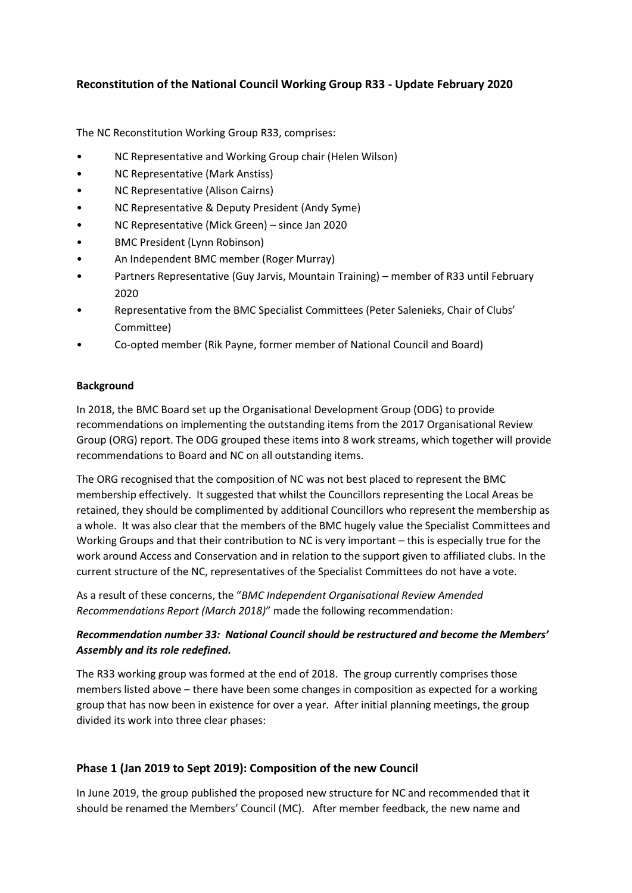## **Reconstitution of the National Council Working Group R33 - Update February 2020**

The NC Reconstitution Working Group R33, comprises:

- NC Representative and Working Group chair (Helen Wilson)
- NC Representative (Mark Anstiss)
- NC Representative (Alison Cairns)
- NC Representative & Deputy President (Andy Syme)
- NC Representative (Mick Green) since Jan 2020
- BMC President (Lynn Robinson)
- An Independent BMC member (Roger Murray)
- Partners Representative (Guy Jarvis, Mountain Training) member of R33 until February 2020
- Representative from the BMC Specialist Committees (Peter Salenieks, Chair of Clubs' Committee)
- Co-opted member (Rik Payne, former member of National Council and Board)

#### **Background**

In 2018, the BMC Board set up the Organisational Development Group (ODG) to provide recommendations on implementing the outstanding items from the 2017 Organisational Review Group (ORG) report. The ODG grouped these items into 8 work streams, which together will provide recommendations to Board and NC on all outstanding items.

The ORG recognised that the composition of NC was not best placed to represent the BMC membership effectively. It suggested that whilst the Councillors representing the Local Areas be retained, they should be complimented by additional Councillors who represent the membership as a whole. It was also clear that the members of the BMC hugely value the Specialist Committees and Working Groups and that their contribution to NC is very important – this is especially true for the work around Access and Conservation and in relation to the support given to affiliated clubs. In the current structure of the NC, representatives of the Specialist Committees do not have a vote.

As a result of these concerns, the "*BMC Independent Organisational Review Amended Recommendations Report (March 2018)*" made the following recommendation:

#### *Recommendation number 33: National Council should be restructured and become the Members' Assembly and its role redefined.*

The R33 working group was formed at the end of 2018. The group currently comprises those members listed above – there have been some changes in composition as expected for a working group that has now been in existence for over a year. After initial planning meetings, the group divided its work into three clear phases:

## **Phase 1 (Jan 2019 to Sept 2019): Composition of the new Council**

In June 2019, the group published the proposed new structure for NC and recommended that it should be renamed the Members' Council (MC). After member feedback, the new name and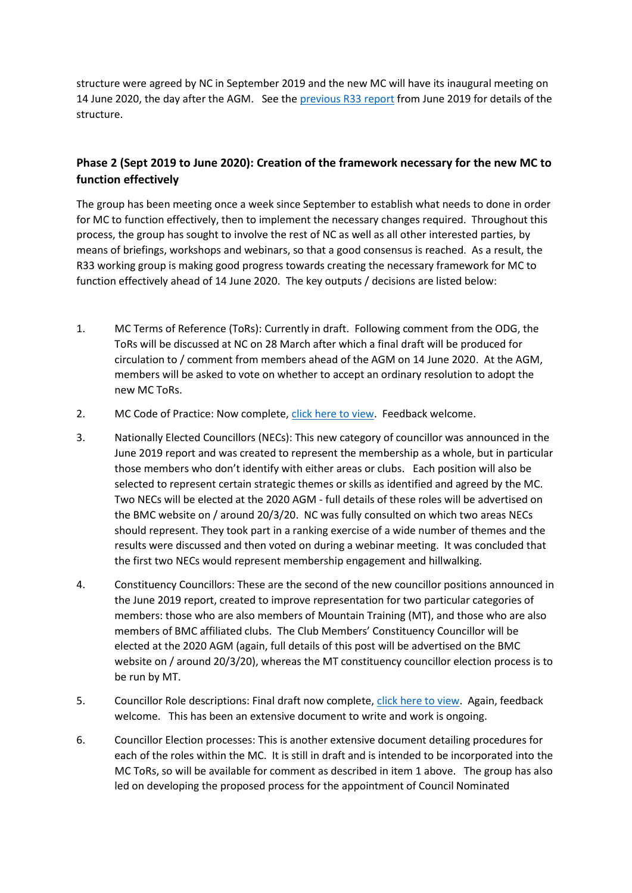structure were agreed by NC in September 2019 and the new MC will have its inaugural meeting on 14 June 2020, the day after the AGM. See th[e previous R33 report](https://www.thebmc.co.uk/Handlers/DownloadHandler.ashx?id=1688) from June 2019 for details of the structure.

# **Phase 2 (Sept 2019 to June 2020): Creation of the framework necessary for the new MC to function effectively**

The group has been meeting once a week since September to establish what needs to done in order for MC to function effectively, then to implement the necessary changes required. Throughout this process, the group has sought to involve the rest of NC as well as all other interested parties, by means of briefings, workshops and webinars, so that a good consensus is reached. As a result, the R33 working group is making good progress towards creating the necessary framework for MC to function effectively ahead of 14 June 2020. The key outputs / decisions are listed below:

- 1. MC Terms of Reference (ToRs): Currently in draft. Following comment from the ODG, the ToRs will be discussed at NC on 28 March after which a final draft will be produced for circulation to / comment from members ahead of the AGM on 14 June 2020. At the AGM, members will be asked to vote on whether to accept an ordinary resolution to adopt the new MC ToRs.
- 2. MC Code of Practice: Now complete[, click here](https://www.thebmc.co.uk/Handlers/DownloadHandler.ashx?id=1890) to view. Feedback welcome.
- 3. Nationally Elected Councillors (NECs): This new category of councillor was announced in the June 2019 report and was created to represent the membership as a whole, but in particular those members who don't identify with either areas or clubs. Each position will also be selected to represent certain strategic themes or skills as identified and agreed by the MC. Two NECs will be elected at the 2020 AGM - full details of these roles will be advertised on the BMC website on / around 20/3/20. NC was fully consulted on which two areas NECs should represent. They took part in a ranking exercise of a wide number of themes and the results were discussed and then voted on during a webinar meeting. It was concluded that the first two NECs would represent membership engagement and hillwalking.
- 4. Constituency Councillors: These are the second of the new councillor positions announced in the June 2019 report, created to improve representation for two particular categories of members: those who are also members of Mountain Training (MT), and those who are also members of BMC affiliated clubs. The Club Members' Constituency Councillor will be elected at the 2020 AGM (again, full details of this post will be advertised on the BMC website on / around 20/3/20), whereas the MT constituency councillor election process is to be run by MT.
- 5. Councillor Role descriptions: Final draft now complete, [click here to view.](https://www.thebmc.co.uk/Handlers/DownloadHandler.ashx?id=1891) Again, feedback welcome. This has been an extensive document to write and work is ongoing.
- 6. Councillor Election processes: This is another extensive document detailing procedures for each of the roles within the MC. It is still in draft and is intended to be incorporated into the MC ToRs, so will be available for comment as described in item 1 above. The group has also led on developing the proposed process for the appointment of Council Nominated